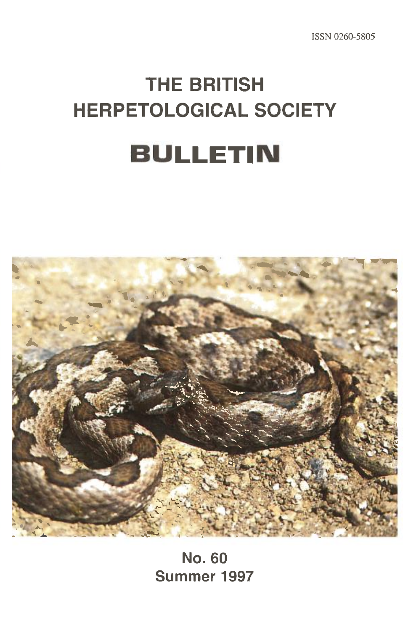ISSN 0260-5805

# **THE BRITISH HERPETOLOGICAL SOCIETY BULLETIN**



**No. 60 Summer 1997**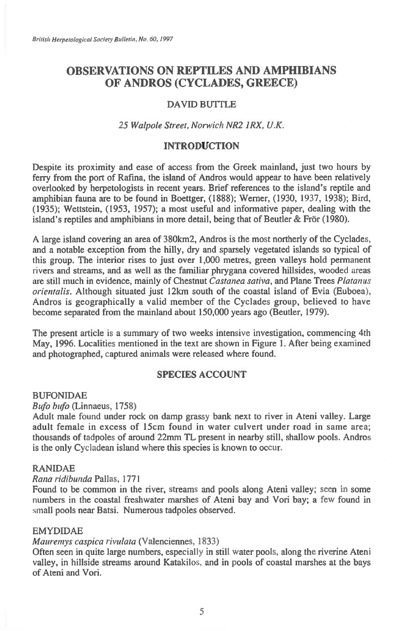# **OBSERVATIONS ON REPTILES AND AMPHIBIANS OF ANDROS (CYCLADES, GREECE)**

# DAVID BUTTLE

# *25 Walpole Street, Norwich NR2 1RX, U.K.*

# **INTRODUCTION**

Despite its proximity and ease of access from the Greek mainland, just two hours by ferry from the port of Rafma, the island of Andros would appear to have been relatively overlooked by herpetologists in recent years. Brief references to the island's reptile and amphibian fauna are to be found in Boettger, (1888); Werner, (1930, 1937, 1938); Bird, (1935); Wettstein, (1953, 1957); a most useful and informative paper, dealing with the island's reptiles and amphibians in more detail, being that of Beutler  $&$  Frör (1980).

A large island covering an area of 380 km2, Andros is the most northerly of the Cyclades, and a notable exception from the hilly, dry and sparsely vegetated islands so typical of this group. The interior rises to just over 1,000 metres, green valleys hold permanent rivers and streams, and as well as the familiar phrygana covered hillsides, wooded areas are still much in evidence, mainly of Chestnut *Castanea sativa,* and Plane Trees *Platanus orientalis.* Although situated just 12km south of the coastal island of Evia (Euboea), Andros is geographically a valid member of the Cyclades group, believed to have become separated from the mainland about 150,000 years ago (Beutler, 1979).

The present article is a summary of two weeks intensive investigation, commencing 4th May, 1996. Localities mentioned in the text are shown in Figure 1. After being examined and photographed, captured animals were released where found.

# **SPECIES ACCOUNT**

#### BUFONIDAE

#### *Bufo bufo* (Linnaeus, 1758)

Adult male found under rock on damp grassy bank next to river in Ateni valley. Large adult female in excess of 15cm found in water culvert under road in same area; thousands of tadpoles of around 22mm TL present in nearby still, shallow pools. Andros is the only Cycladean island where this species is known to occur.

#### RANIDAE

#### *Rana ridibunda* Pallas, 1771

Found to be common in the river, streams and pools along Ateni valley; seen in some numbers in the coastal freshwater marshes of Ateni bay and Von bay; a few found in small pools near Batsi. Numerous tadpoles observed.

#### EMYDIDAE

#### *Mauremys caspica rivulata* (Valenciennes, 1833)

Often seen in quite large numbers, especially in still water pools, along the riverine Ateni valley, in hillside streams around Katakilos, and in pools of coastal marshes at the bays of Ateni and Vori.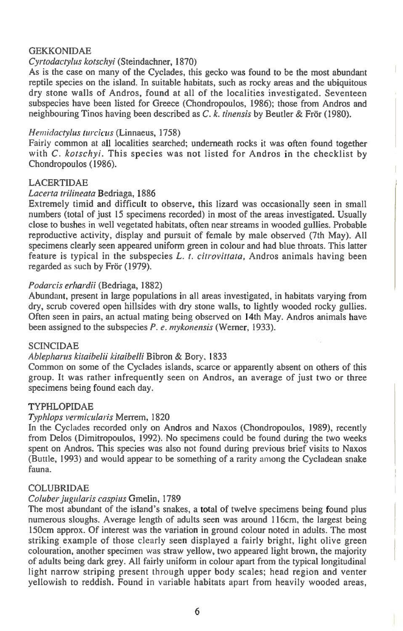# GEKKONIDAE

# *Cyrtodactylus kotschyi* (Steindachner, 1870)

As is the case on many of the Cyclades, this gecko was found to be the most abundant reptile species on the island. In suitable habitats, such as rocky areas and the ubiquitous dry stone walls of Andros, found at all of the localities investigated. Seventeen subspecies have been listed for Greece (Chondropoulos, 1986); those from Andros and neighbouring Tinos having been described as *C. k. tinensis* by Beutler & Fror (1980).

#### *Hemidactylus turcicus* (Linnaeus, 1758)

Fairly common at all localities searched; underneath rocks it was often found together with *C. kotschyi.* This species was not listed for Andros in the checklist by Chondropoulos (1986).

# LACERTIDAE

#### *Lacerta trilineata* Bedriaga, 1886

Extremely timid and difficult to observe, this lizard was occasionally seen in small numbers (total of just 15 specimens recorded) in most of the areas investigated. Usually close to bushes in well vegetated habitats, often near streams in wooded gullies. Probable reproductive activity, display and pursuit of female by male observed (7th May). All specimens clearly seen appeared uniform green in colour and had blue throats. This latter feature is typical in the subspecies *L. t. citrovittata,* Andros animals having been regarded as such by Frör (1979).

#### *Podarcis erhardii* (Bedriaga, 1882)

Abundant, present in large populations in all areas investigated, in habitats varying from dry, scrub covered open hillsides with dry stone walls, to lightly wooded rocky gullies. Often seen in pairs, an actual mating being observed on 14th May. Andros animals have been assigned to the subspecies *P. e. mykonensis* (Werner, 1933).

#### SCINCIDAE

#### *Ablepharus kitaibelii kitaibelli* Bibron & Bory, 1833

Common on some of the Cyclades islands, scarce or apparently absent on others of this group. It was rather infrequently seen on Andros, an average of just two or three specimens being found each day.

# TYPHLOPIDAE

#### *Typhlops vermicularis* Menem, 1820

In the Cyclades recorded only on Andros and Naxos (Chondropoulos, 1989), recently from Delos (Dimitropoulos, 1992). No specimens could be found during the two weeks spent on Andros. This species was also not found during previous brief visits to Naxos (Buttle, 1993) and would appear to be something of a rarity among the Cycladean snake fauna.

#### COLUBRIDAE

#### *Coluber jugtdaris caspius* Gmelin, 1789

The most abundant of the island's snakes, a total of twelve specimens being found plus numerous sloughs. Average length of adults seen was around 116cm, the largest being 150cm approx. Of interest was the variation in ground colour noted in adults. The most striking example of those clearly seen displayed a fairly bright, light olive green colouration, another specimen was straw yellow, two appeared light brown, the majority of adults being dark grey. All fairly uniform in colour apart from the typical longitudinal light narrow striping present through upper body scales; head region and venter yellowish to reddish. Found in variable habitats apart from heavily wooded areas,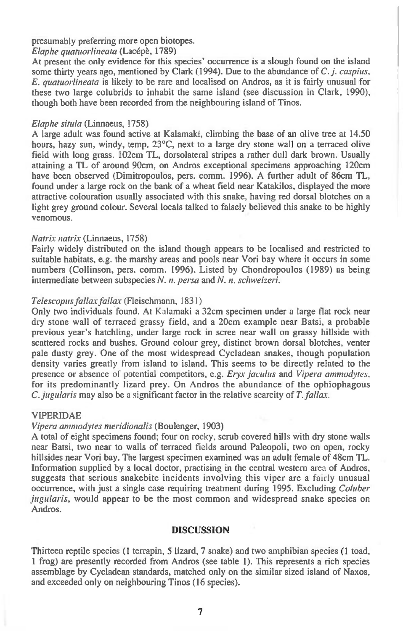# presumably preferring more open biotopes.

# *Elaphe quatuorlineata* (Lacepe, 1789)

At present the only evidence for this species' occurrence is a slough found on the island some thirty years ago, mentioned by Clark (1994). Due to the abundance of *C. j. caspius, E. quatuorlineata* is likely to be rare and localised on Andros, as it is fairly unusual for these two large colubrids to inhabit the same island (see discussion in Clark, 1990), though both have been recorded from the neighbouring island of Tinos.

#### *Elaphe situla* (Linnaeus, 1758)

A large adult was found active at Kalamaki, climbing the base of an olive tree at 14.50 hours, hazy sun, windy, temp. 23°C, next to a large dry stone wall on a terraced olive field with long grass. 102cm TL, dorsolateral stripes a rather dull dark brown. Usually attaining a TL of around 90cm, on Andros exceptional specimens approaching 120cm have been observed (Dimitropoulos, pers. comm. 1996). A further adult of 86cm TL, found under a large rock on the bank of a wheat field near Katakilos, displayed the more attractive colouration usually associated with this snake, having red dorsal blotches on a light grey ground colour. Several locals talked to falsely believed this snake to be highly venomous.

# *Natrix natrix* (Linnaeus, 1758)

Fairly widely distributed on the island though appears to be localised and restricted to suitable habitats, e.g. the marshy areas and pools near Vori bay where it occurs in some numbers (Collinson, pers. comm. 1996). Listed by Chondropoulos (1989) as being intermediate between subspecies *N. n. persa* and *N. n. schweizeri.* 

# *Telescopus fallax fallax* (Fleischmann, 1831)

Only two individuals found. At Kalamaki a 32cm specimen under a large flat rock near dry stone wall of terraced grassy field, and a 20cm example near Batsi, a probable previous year's hatchling, under large rock in scree near wall on grassy hillside with scattered rocks and bushes. Ground colour grey, distinct brown dorsal blotches, venter pale dusty grey. One of the most widespread Cycladean snakes, though population density varies greatly from island to island. This seems to be directly related to the presence or absence of potential competitors, e.g. *Eryx jaculus* and *Vipera ammodytes,*  for its predominantly lizard prey. On Andros the abundance of the ophiophagous *C. jugularis* may also be a significant factor in the relative scarcity of *T. fallax.* 

#### VIPERIDAE

### *Vipera ammodytes meridionalis* (Boulenger, 1903)

A total of eight specimens found; four on rocky, scrub covered hills with dry stone walls near Batsi, two near to walls of terraced fields around Paleopoli, two on open, rocky hillsides near Vori bay. The largest specimen examined was an adult female of 48cm TL. Information supplied by a local doctor, practising in the central western area of Andros, suggests that serious snakebite incidents involving this viper are a fairly unusual occurrence, with just a single case requiring treatment during 1995. Excluding *Coluher jugularis,* would appear to be the most common and widespread snake species on Andros.

### **DISCUSSION**

Thirteen reptile species (1 terrapin, 5 lizard, 7 snake) and two amphibian species (1 toad, 1 frog) are presently recorded from Andros (see table 1). This represents a rich species assemblage by Cycladean standards, matched only on the similar sized island of Naxos, and exceeded only on neighbouring Tinos (16 species).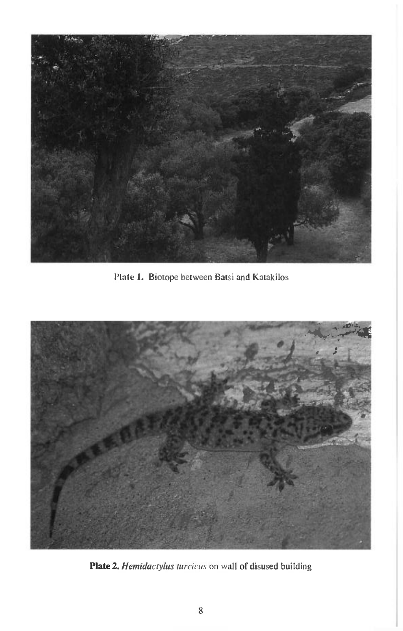

Plate 1. Biotope between Batsi and Katakilos



**Plate 2.** *Hemidactylus turcicus* on wall of disused building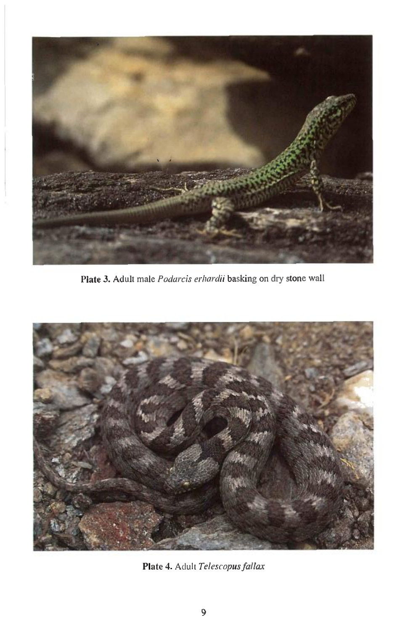

*Plate* 3. Adult male *Podarcis erhardii* basking on dry stone wall



Plate 4. Adult *Telescopus fallax*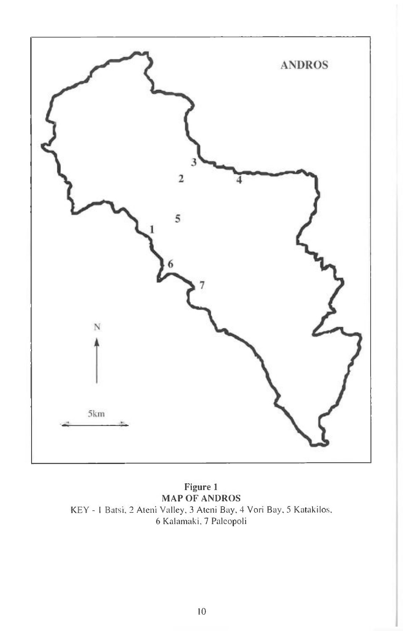

Figure 1 MAP OF ANDROS KEY - I Batsi, 2 Ateni Valley, 3 Ateni Bay, 4 Vori Bay, 5 Katakilos, 6 Kalarnaki, 7 Paleopoli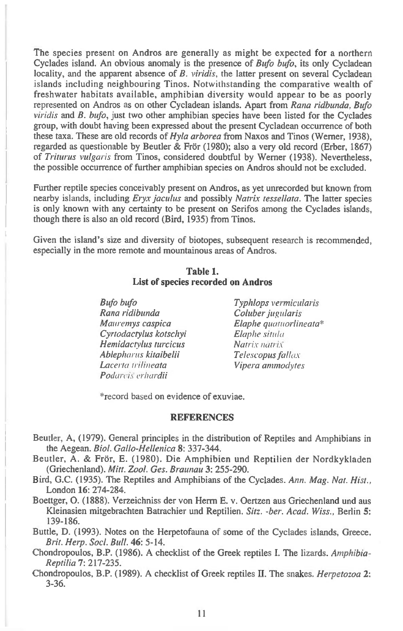The species present on Andros are generally as might be expected for a northern Cyclades island. An obvious anomaly is the presence of *Bufo bufo,* its only Cycladean locality, and the apparent absence of *B. viridis,* the latter present on several Cycladean islands including neighbouring Tinos. Notwithstanding the comparative wealth of freshwater habitats available, amphibian diversity would appear to be as poorly represented on Andros as on other Cycladean islands. Apart from *Rana ridbunda, Bufo viridis* and *B. bufo,* just two other amphibian species have been listed for the Cyclades group, with doubt having been expressed about the present Cycladean occurrence of both these taxa. These are old records of *Hyla arborea* from Naxos and Tinos (Werner, 1938), regarded as questionable by Beutler & Frör (1980); also a very old record (Erber, 1867) of *Triturus vulgaris* from Tinos, considered doubtful by Werner (1938). Nevertheless, the possible occurrence of further amphibian species on Andros should not be excluded.

Further reptile species conceivably present on Andros, as yet unrecorded but known from nearby islands, including *Eryx jaculus* and possibly *Natrix tessellate.* The latter species is only known with any certainty to be present on Serifos among the Cyclades islands, though there is also an old record (Bird, 1935) from Tinos.

Given the island's size and diversity of biotopes, subsequent research is recommended, especially in the more remote and mountainous areas of Andros.

# **Table 1. List of species recorded on Andros**

*Bufo bufo Typhlops vermicidaris Rana ridibunda Coluber jugularis Cyrtodactylus kotschyi Elaphe sinda*   $H$ *emidactylus turcicus Ablepharus kitaibelii Telescopus fallax Podarcis erhardii* 

*<i>Elaphe quatuorlineata\* Elaphe situla Lacerta trilineata Vipera ammoclytes* 

\*record based on evidence of exuviae.

#### **REFERENCES**

- Beutler, A, (1979). General principles in the distribution of Reptiles and Amphibians in the Aegean. *Biol. Gallo-Hellenica* **8:** 337-344.
- Beutler, A. & Fror, E. (1980). Die Amphibien und Reptilien der Nordkykladen (Griechenland). *Mitt. Zool. Ges. Braunau* **3:** 255-290.
- Bird, G.C. (1935). The Reptiles and Amphibians of the Cyclades. *Ann. Mag. Nat. Hist.,*  London **16:** 274-284.
- Boettger, **0.** (1888). Verzeichniss der von Herrn E. v. Oertzen aus Griechenland und aus Kleinasien mitgebrachten Batrachier und Reptilien. *Sitz. -ber. Acad. Wiss.,* Berlin **5:**  139-186.
- Buttle, D. (1993). Notes on the Herpetofauna of some of the Cyclades islands, Greece. *Brit. Herp. Sod. Bull.* **46:** 5-14.
- Chondropoulos, B.P. (1986). A checklist of the Greek reptiles I. The lizards. *Amphibia-Reptilia* **7:** 217-235.
- Chondropoulos, **B.P.** (1989). A checklist of Greek reptiles II. The snakes. *Herpetozoa* **2:**  3-36.